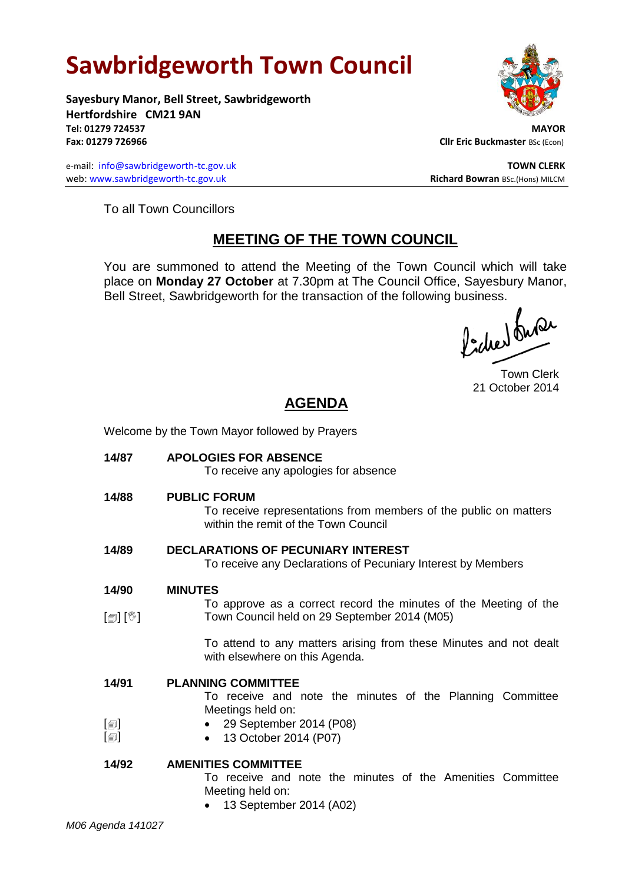# **Sawbridgeworth Town Council**

Welcome by the Town Mayor followed by Prayers

**Sayesbury Manor, Bell Street, Sawbridgeworth Hertfordshire CM21 9AN Tel: 01279 724537 MAYOR Fax: 01279 726966 Cllr Eric Buckmaster BSc (Econ)** 

e-mail: [info@sawbridgeworth-tc.gov.uk](mailto:info@sawbridgeworth-tc.gov.uk) **TOWN CLERK TOWN CLERK** web: www.sawbridgeworth-tc.gov.uk **Richard Bowran** BSc.(Hons) MILCM

To all Town Councillors

# **MEETING OF THE TOWN COUNCIL**

You are summoned to attend the Meeting of the Town Council which will take place on **Monday 27 October** at 7.30pm at The Council Office, Sayesbury Manor, Bell Street, Sawbridgeworth for the transaction of the following business.<br>  $\int_{\mathbb{R}} \int_{\mathbb{R}} \int_{\mathbb{R}} \mathcal{M} \mathcal{M}$ 

Town Clerk 21 October 2014

# **AGENDA**

| 14/87                                 | <b>APOLOGIES FOR ABSENCE</b><br>To receive any apologies for absence                                                                                |
|---------------------------------------|-----------------------------------------------------------------------------------------------------------------------------------------------------|
| 14/88                                 | <b>PUBLIC FORUM</b><br>To receive representations from members of the public on matters<br>within the remit of the Town Council                     |
| 14/89                                 | <b>DECLARATIONS OF PECUNIARY INTEREST</b><br>To receive any Declarations of Pecuniary Interest by Members                                           |
| 14/90                                 | <b>MINUTES</b><br>To approve as a correct record the minutes of the Meeting of the                                                                  |
| $\mathbb{D}[\mathbb{D}^1]$            | Town Council held on 29 September 2014 (M05)<br>To attend to any matters arising from these Minutes and not dealt<br>with elsewhere on this Agenda. |
| 14/91<br>$\lbrack \oplus \rbrack$     | <b>PLANNING COMMITTEE</b><br>To receive and note the minutes of the Planning Committee<br>Meetings held on:<br>29 September 2014 (P08)              |
| $\lceil \circledcirc \rceil$<br>14/92 | 13 October 2014 (P07)<br>$\bullet$<br><b>AMENITIES COMMITTEE</b>                                                                                    |
|                                       | To receive and note the minutes of the Amenities Committee<br>Meeting held on:<br>13 September 2014 (A02)                                           |